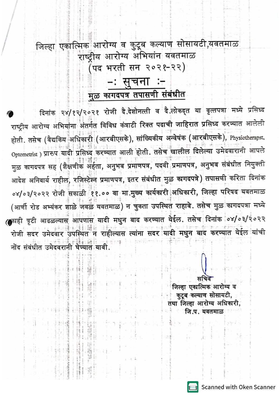## जिल्हा एकात्मिक आरोग्य व कुटूब कल्याण सोसायटी,यवतमाळ राष्ट्रीय आरोग्य अभियांन यवतमाळ (पद भरती सन २०२१-२२) −ः सुचनाः – मुळ कागदपत्र तपासणी संबंधीत

दिनांक २४/१२/२०२१ रोजी दे.देशोनत्ती व दे.लोकद्त या वृत्तपत्रा मध्ये प्रसिध्द राष्ट्रीय आरोग्य अभियांना अंतर्गत विविध कंत्राटी रिक्त पदाची जाहिरात प्रसिध्द करण्यात आलेली होती. तसेच (वैद्यकिय अधिकारी (आरबीएसके), सांख्यिकीय अन्वेषंक (आरबीएसके), Physiotherapst, Optometrist ) प्रारुप यादी प्रसिध्द करण्यात आली होती. तसेच खालील दिलेल्या उमेदवारांनी आपले मुळ कागदपत्र सह (शैक्षणीक अर्हता, अनुभव प्रमाणपत्र, पदवी प्रमाणपत्र, अनुभव संबंधीत नियुक्ती आदेश अनिवार्य राहील, रजिस्टेश्न प्रमाणपत्र, इतर संबंधीत मुळ कागदपत्रे) तपासणी करिता दिनांक ०४/०३/२०२२ रोजी सकाळी ११.०० वा मा.मुख्य कार्यकारी अधिकारी, जिल्हा परिषद यवतमाळ (आर्णी रोड अभ्यंकर शाळे जवळं यवतमाळ) न चुकता उपस्थित राहावे. तसेच मुळ कागदपत्रा मध्ये (काही त्रृटी आढळल्यास आपणास यादी मधुन बाद करण्यात येईल. तसेच दिनांक ०४/०३/२०२२ - अर्थे सुरुवत् । अन्तर्गति । अति । पत्नी संगीतः विकासः । अति । अति अति । अति । अति । अति । अति ।<br>रोजी सदर उमेदवार उपस्थितं न राहील्यासः त्यांना सदर यादी मधुन बाद करण्यात येईल यांची नोंद संबंधीत उमेदवरानी घेण्यात यावी.

※3 (著作情報

जिल्हा एकात्मिक आरोग्य व ं कुटूब कल्याण सोसायटी, तथा जिल्हा आरोग्य अधिकारी, जि.प. यवतमाळ

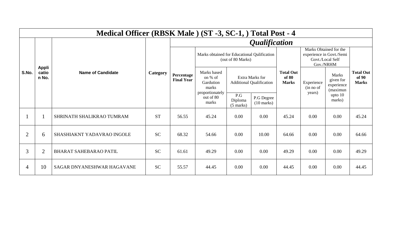| Medical Officer (RBSK Male) (ST -3, SC-1, ) Total Post - 4 |                         |                               |           |                                 |                                                                  |                                                    |                                    |                                           |                                                                                     |                                                     |                                           |  |  |
|------------------------------------------------------------|-------------------------|-------------------------------|-----------|---------------------------------|------------------------------------------------------------------|----------------------------------------------------|------------------------------------|-------------------------------------------|-------------------------------------------------------------------------------------|-----------------------------------------------------|-------------------------------------------|--|--|
|                                                            |                         | <b>Name of Candidate</b>      | Category  | <i><b>Qualification</b></i>     |                                                                  |                                                    |                                    |                                           |                                                                                     |                                                     |                                           |  |  |
|                                                            |                         |                               |           | Percentage<br><b>Final Year</b> | Marks obtained for Educational Qulification<br>(out of 80 Marks) |                                                    |                                    |                                           | Marks Obtained for the<br>experience in Govt./Semi<br>Govt./Local Self<br>Gov./NRHM |                                                     |                                           |  |  |
| S.No.                                                      | Appli<br>catio<br>n No. |                               |           |                                 | Marks based<br>on % of<br>Gardution<br>marks<br>proportionately  | Extra Marks for<br><b>Additional Qualification</b> |                                    | <b>Total Out</b><br>of 80<br><b>Marks</b> | Experience<br>(in no of<br>years)                                                   | <b>Marks</b><br>given for<br>experience<br>(maximun | <b>Total Out</b><br>of 90<br><b>Marks</b> |  |  |
|                                                            |                         |                               |           |                                 | out of 80<br>marks                                               | P.G<br>Diploma<br>$(5 \text{ marks})$              | P.G Degree<br>$(10 \text{ marks})$ |                                           |                                                                                     | upto $10$<br>marks)                                 |                                           |  |  |
|                                                            |                         | SHRINATH SHALIKRAO TUMRAM     | <b>ST</b> | 56.55                           | 45.24                                                            | 0.00                                               | 0.00                               | 45.24                                     | 0.00                                                                                | 0.00                                                | 45.24                                     |  |  |
| $\overline{2}$                                             | 6                       | SHASHIAKNT YADAVRAO INGOLE    | <b>SC</b> | 68.32                           | 54.66                                                            | 0.00                                               | 10.00                              | 64.66                                     | 0.00                                                                                | 0.00                                                | 64.66                                     |  |  |
| 3                                                          | $\overline{2}$          | <b>BHARAT SAHEBARAO PATIL</b> | <b>SC</b> | 61.61                           | 49.29                                                            | 0.00                                               | 0.00                               | 49.29                                     | 0.00                                                                                | 0.00                                                | 49.29                                     |  |  |
| $\overline{4}$                                             | 10                      | SAGAR DNYANESHWAR HAGAVANE    | <b>SC</b> | 55.57                           | 44.45                                                            | 0.00                                               | 0.00                               | 44.45                                     | 0.00                                                                                | 0.00                                                | 44.45                                     |  |  |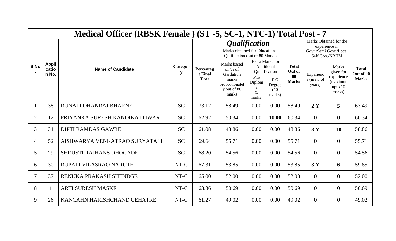|                | Medical Officer (RBSK Female) (ST -5, SC-1, NTC-1) Total Post - 7 |                                |           |                              |                                                                                                 |                                                       |                                 |                              |                       |                                                                                     |                           |
|----------------|-------------------------------------------------------------------|--------------------------------|-----------|------------------------------|-------------------------------------------------------------------------------------------------|-------------------------------------------------------|---------------------------------|------------------------------|-----------------------|-------------------------------------------------------------------------------------|---------------------------|
|                |                                                                   | <b>Name of Candidate</b>       | Categor   |                              | <i><b>Qualification</b></i><br>Marks obtained for Educational<br>Qulification (out of 80 Marks) |                                                       |                                 |                              |                       | Marks Obtained for the<br>experience in<br>Govt./Semi Govt./Local<br>Self Gov./NRHM |                           |
| S.No           | <b>Appli</b><br>catio<br>n No.                                    |                                |           | Percentag<br>e Final<br>Year | Marks based<br>on % of<br>Gardution                                                             | <b>Extra Marks for</b><br>Additional<br>Qualification |                                 | <b>Total</b><br>Out of<br>80 | Experienc             | <b>Marks</b><br>given for                                                           | <b>Total</b><br>Out of 90 |
|                |                                                                   |                                |           |                              | marks<br>proportionatel<br>y out of 80<br>marks                                                 | P.G<br>Diplom<br>a<br>(5)<br>marks)                   | P.G<br>Degree<br>(10)<br>marks) | <b>Marks</b>                 | e (in no of<br>years) | experience<br>(maximun<br>upto $10$<br>marks)                                       | <b>Marks</b>              |
|                | 38                                                                | RUNALI DHANRAJ BHARNE          | <b>SC</b> | 73.12                        | 58.49                                                                                           | 0.00                                                  | 0.00                            | 58.49                        | 2Y                    | 5                                                                                   | 63.49                     |
| $\overline{2}$ | 12                                                                | PRIYANKA SURESH KANDIKATTIWAR  | <b>SC</b> | 62.92                        | 50.34                                                                                           | 0.00                                                  | 10.00                           | 60.34                        | $\overline{0}$        | $\overline{0}$                                                                      | 60.34                     |
| 3              | 31                                                                | <b>DIPTI RAMDAS GAWRE</b>      | <b>SC</b> | 61.08                        | 48.86                                                                                           | 0.00                                                  | 0.00                            | 48.86                        | <b>8Y</b>             | <b>10</b>                                                                           | 58.86                     |
| 4              | 52                                                                | AISHWARYA VENKATRAO SURYATALI  | <b>SC</b> | 69.64                        | 55.71                                                                                           | 0.00                                                  | 0.00                            | 55.71                        | $\overline{0}$        | $\overline{0}$                                                                      | 55.71                     |
| 5              | 29                                                                | <b>SHRUSTI RAJHANS DHOGADE</b> | <b>SC</b> | 68.20                        | 54.56                                                                                           | 0.00                                                  | 0.00                            | 54.56                        | $\overline{0}$        | $\overline{0}$                                                                      | 54.56                     |
| 6              | 30                                                                | RUPALI VILASRAO NARUTE         | NT-C      | 67.31                        | 53.85                                                                                           | 0.00                                                  | 0.00                            | 53.85                        | 3Y                    | 6                                                                                   | 59.85                     |
|                | 37                                                                | RENUKA PRAKASH SHENDGE         | NT-C      | 65.00                        | 52.00                                                                                           | 0.00                                                  | 0.00                            | 52.00                        | $\overline{0}$        | $\overline{0}$                                                                      | 52.00                     |
| 8              |                                                                   | <b>ARTI SURESH MASKE</b>       | NT-C      | 63.36                        | 50.69                                                                                           | 0.00                                                  | 0.00                            | 50.69                        | $\overline{0}$        | $\overline{0}$                                                                      | 50.69                     |
| 9              | 26                                                                | KANCAHN HARISHCHAND CEHATRE    | NT-C      | 61.27                        | 49.02                                                                                           | 0.00                                                  | 0.00                            | 49.02                        | $\overline{0}$        | $\overline{0}$                                                                      | 49.02                     |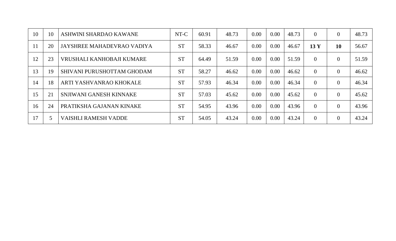| 10            | 10 | ASHWINI SHARDAO KAWANE      | NT-C      | 60.91 | 48.73 | 0.00 | 0.00 | 48.73 | $\theta$        | $\theta$ | 48.73 |
|---------------|----|-----------------------------|-----------|-------|-------|------|------|-------|-----------------|----------|-------|
| <sup>11</sup> | 20 | JAYSHREE MAHADEVRAO VADIYA  | <b>ST</b> | 58.33 | 46.67 | 0.00 | 0.00 | 46.67 | 13 <sub>Y</sub> | 10       | 56.67 |
| 12            | 23 | VRUSHALI KANHOBAJI KUMARE   | <b>ST</b> | 64.49 | 51.59 | 0.00 | 0.00 | 51.59 | $\theta$        | $\Omega$ | 51.59 |
| 13            | 19 | SHIVANI PURUSHOTTAM GHODAM  | <b>ST</b> | 58.27 | 46.62 | 0.00 | 0.00 | 46.62 | $\theta$        | $\theta$ | 46.62 |
| 14            | 18 | ARTI YASHVANRAO KHOKALE     | <b>ST</b> | 57.93 | 46.34 | 0.00 | 0.00 | 46.34 | $\Omega$        | $\theta$ | 46.34 |
| 15            | 21 | SNJIWANI GANESH KINNAKE     | <b>ST</b> | 57.03 | 45.62 | 0.00 | 0.00 | 45.62 | $\overline{0}$  | $\theta$ | 45.62 |
| 16            | 24 | PRATIKSHA GAJANAN KINAKE    | <b>ST</b> | 54.95 | 43.96 | 0.00 | 0.00 | 43.96 | $\Omega$        | $\theta$ | 43.96 |
| 17            |    | <b>VAISHLI RAMESH VADDE</b> | <b>ST</b> | 54.05 | 43.24 | 0.00 | 0.00 | 43.24 | $\Omega$        | $\theta$ | 43.24 |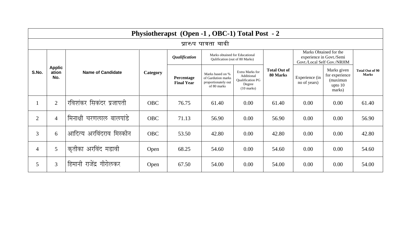|                | Physiotherapst (Open -1, OBC-1) Total Post - 2 |                          |            |                                 |                                                                              |                                                                                            |                                 |                                |                                                                                  |                                 |  |  |  |
|----------------|------------------------------------------------|--------------------------|------------|---------------------------------|------------------------------------------------------------------------------|--------------------------------------------------------------------------------------------|---------------------------------|--------------------------------|----------------------------------------------------------------------------------|---------------------------------|--|--|--|
|                | प्रारुप पात्रता यादी                           |                          |            |                                 |                                                                              |                                                                                            |                                 |                                |                                                                                  |                                 |  |  |  |
|                | <b>Applic</b><br>ation<br>No.                  | <b>Name of Candidate</b> | Category   | <i>Qualification</i>            | Marks obtained for Educational<br>Qulification (out of 80 Marks)             |                                                                                            |                                 |                                | Marks Obtained for the<br>experience in Govt./Semi<br>Govt./Local Self Gov./NRHM |                                 |  |  |  |
| S.No.          |                                                |                          |            | Percentage<br><b>Final Year</b> | Marks based on %<br>of Gardution marks<br>proportionately out<br>of 80 marks | Extra Marks for<br>Additional<br><b>Qualification PG</b><br>Degree<br>$(10 \text{ marks})$ | <b>Total Out of</b><br>80 Marks | Experience (in<br>no of years) | Marks given<br>for experience<br>(maximun<br>upto $10$<br>marks)                 | Total Out of 90<br><b>Marks</b> |  |  |  |
|                | $\overline{2}$                                 | रविशंकर सिकंदर प्रजापती  | <b>OBC</b> | 76.75                           | 61.40                                                                        | 0.00                                                                                       | 61.40                           | 0.00                           | 0.00                                                                             | 61.40                           |  |  |  |
| $\overline{2}$ | $\overline{4}$                                 | मिनाक्षी चरणलाल बालपांडे | <b>OBC</b> | 71.13                           | 56.90                                                                        | 0.00                                                                                       | 56.90                           | 0.00                           | 0.00                                                                             | 56.90                           |  |  |  |
| $\overline{3}$ | 6                                              | आदित्य अरविंदराव मिस्कीन | <b>OBC</b> | 53.50                           | 42.80                                                                        | 0.00                                                                                       | 42.80                           | 0.00                           | 0.00                                                                             | 42.80                           |  |  |  |
| $\overline{4}$ | 5                                              | कृतीका अरविंद मडावी      | Open       | 68.25                           | 54.60                                                                        | 0.00                                                                                       | 54.60                           | 0.00                           | 0.00                                                                             | 54.60                           |  |  |  |
| 5              | 3                                              | हिमानी राजेंद्र गीरोलकर  | Open       | 67.50                           | 54.00                                                                        | 0.00                                                                                       | 54.00                           | 0.00                           | 0.00                                                                             | 54.00                           |  |  |  |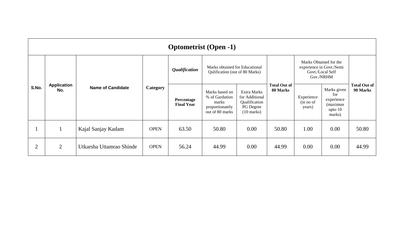|                | <b>Optometrist (Open -1)</b> |                          |                 |                                 |                                                                                 |                                                                                     |                                 |                                                                                     |                                                                     |                                 |  |
|----------------|------------------------------|--------------------------|-----------------|---------------------------------|---------------------------------------------------------------------------------|-------------------------------------------------------------------------------------|---------------------------------|-------------------------------------------------------------------------------------|---------------------------------------------------------------------|---------------------------------|--|
| S.No.          |                              | <b>Name of Candidate</b> | <b>Category</b> | <i><b>Qualification</b></i>     | Marks obtained for Educational<br>Qulification (out of 80 Marks)                |                                                                                     |                                 | Marks Obtained for the<br>experience in Govt./Semi<br>Govt./Local Self<br>Gov./NRHM |                                                                     |                                 |  |
|                | <b>Application</b><br>No.    |                          |                 | Percentage<br><b>Final Year</b> | Marks based on<br>% of Gardution<br>marks<br>proportionately<br>out of 80 marks | Extra Marks<br>for Additional<br>Qualification<br>PG Degree<br>$(10 \text{ marks})$ | <b>Total Out of</b><br>80 Marks | Experience<br>(in no of<br>years)                                                   | Marks given<br>for<br>experience<br>(maximun<br>upto $10$<br>marks) | <b>Total Out of</b><br>90 Marks |  |
|                |                              | Kajal Sanjay Kadam       | <b>OPEN</b>     | 63.50                           | 50.80                                                                           | 0.00                                                                                | 50.80                           | 1.00                                                                                | 0.00                                                                | 50.80                           |  |
| $\overline{2}$ | $\overline{2}$               | Utkarsha Uttamrao Shinde | <b>OPEN</b>     | 56.24                           | 44.99                                                                           | 0.00                                                                                | 44.99                           | 0.00                                                                                | 0.00                                                                | 44.99                           |  |